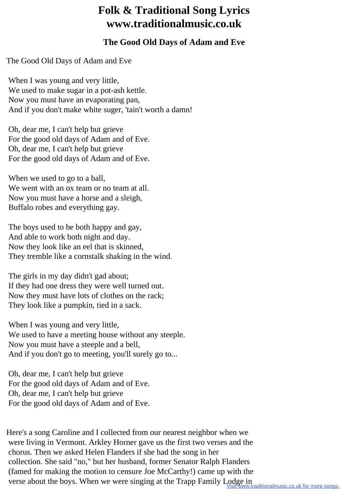## **Folk & Traditional Song Lyrics www.traditionalmusic.co.uk**

## **The Good Old Days of Adam and Eve**

The Good Old Days of Adam and Eve

 When I was young and very little, We used to make sugar in a pot-ash kettle. Now you must have an evaporating pan, And if you don't make white suger, 'tain't worth a damn!

 Oh, dear me, I can't help but grieve For the good old days of Adam and of Eve. Oh, dear me, I can't help but grieve For the good old days of Adam and of Eve.

 When we used to go to a ball, We went with an ox team or no team at all. Now you must have a horse and a sleigh, Buffalo robes and everything gay.

 The boys used to be both happy and gay, And able to work both night and day. Now they look like an eel that is skinned, They tremble like a cornstalk shaking in the wind.

 The girls in my day didn't gad about; If they had one dress they were well turned out. Now they must have lots of clothes on the rack; They look like a pumpkin, tied in a sack.

When I was young and very little, We used to have a meeting house without any steeple. Now you must have a steeple and a bell, And if you don't go to meeting, you'll surely go to...

 Oh, dear me, I can't help but grieve For the good old days of Adam and of Eve. Oh, dear me, I can't help but grieve For the good old days of Adam and of Eve.

Here's a song Caroline and I collected from our nearest neighbor when we were living in Vermont. Arkley Horner gave us the first two verses and the chorus. Then we asked Helen Flanders if she had the song in her collection. She said "no," but her husband, former Senator Ralph Flanders (famed for making the motion to censure Joe McCarthy!) came up with the verse about the boys. When we were singing at the Trapp Family Lodge in aditionalmusic.co.uk for more songs.